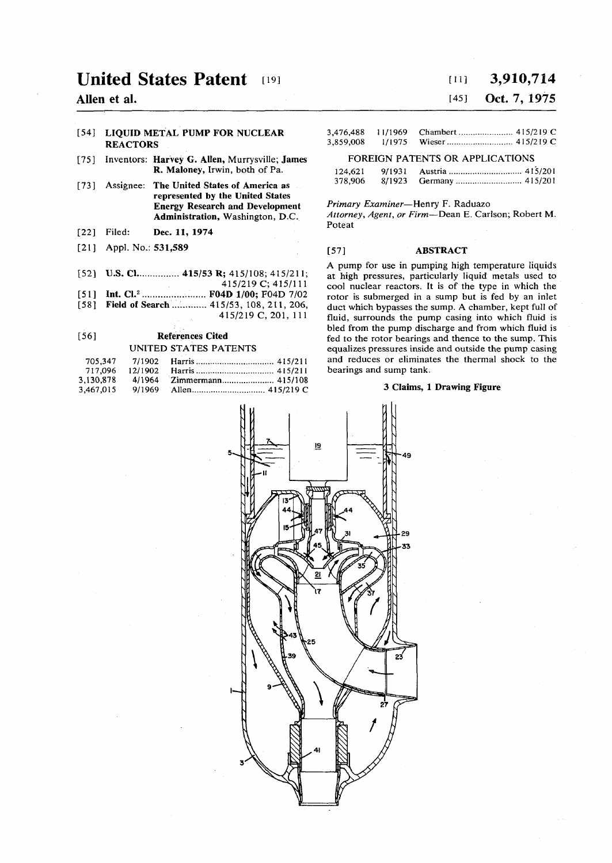# **United States Patent** [19]

## Allen et al.

### **[54] LIQUID METAL PUMP FOR NUCLEAR REACTORS**

- **[75] Inventors: Harvey G. Allen, Murrysville; James R. Maloney, Irwin, both of Pa.**
- **[73] Assignee: The United States of America as represented by the United States Energy Research and Development Administration, Washington, D.C.**
- $[22]$  Filed: **Filed: Dec. 11, 1974**
- [21] **Appl. No.: 531,589**
- [52] U.S. Cl................ 415/53 R; 415/108; 415/211;
- **415/219 C; 415/111 [51] Int. CI.<sup>2</sup> F04D 1/00; F04D 7/02**
- [58] **Field of Search ............. 415/53, 108, 211, 206, 415/219 C, 201, 111**

### **[56] References Cited UNITED STATES PATENTS**

| 705.347   |  |
|-----------|--|
| 717.096   |  |
| 3.130.878 |  |
| 3.467.015 |  |

# [11] **3,910,714**

## [45] **Oct. 7, 1975**

| 104.621 011021 11111 |  | FOREIGN PATENTS OR APPLICATIONS<br>$\overline{A}$ |  |
|----------------------|--|---------------------------------------------------|--|

| 124,621 |  |  |
|---------|--|--|
| 378,906 |  |  |
|         |  |  |

*Primary Examiner***—Henry F. Raduazo** 

*Attorney, Agent, or Firm***—Dean E. Carlson; Robert M. Poteat** 

### **[57] ABSTRACT**

**A pump for use in pumping high temperature liquids at high pressures, particularly liquid metals used to cool nuclear reactors. It is of the type in which the rotor is submerged in a sump but is fed by an inlet duct which bypasses the sump. A chamber, kept full of fluid, surrounds the pump casing into which fluid is bled from the pump discharge and from which fluid is fed to the rotor bearings and thence to the sump. This equalizes pressures inside and outside the pump casing and reduces or eliminates the thermal shock to the bearings and sump tank.** 

### **3 Claims, 1 Drawing Figure**

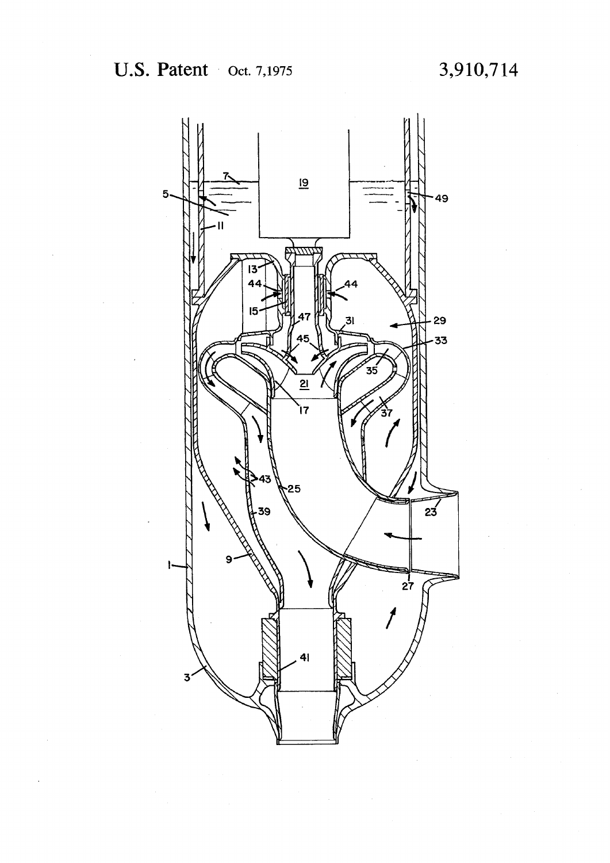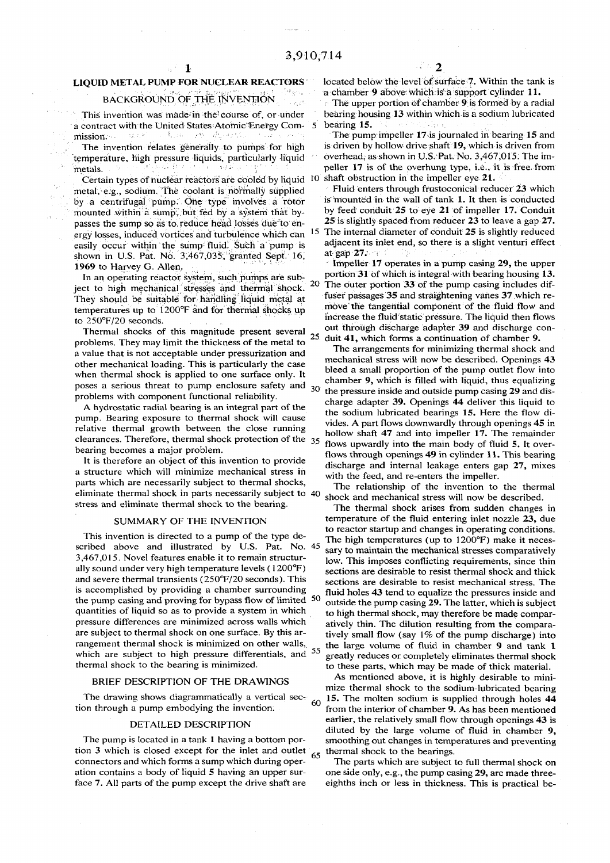This invention was made<sup>*i*</sup> in the course of, or under a contract with the United States Atomic Energy Com- 5

temperature, high pressure liquids, particularly liquid **metals.**  $\mathbb{Z}$  is  $\mathbb{Z}$  if  $\mathbb{Z}$  is  $\mathbb{Z}$ .

Certain types of nuclear reactors are cooled by liquid 10 shaft obstruction in the impeller eye 21.<br>
letal i.e. *is* sodium. The coolant is normally supplied Fluid enters through frustoconical reducer 23 which metal, e.g., sodium. The coolant is normally supplied Fluid enters through frustoconical reducer 23 which by a centrifugal pump. One type involves a rotor is mounted in the wall of tank 1. It then is conducted mounted within a sump, but fed by a system that bypasses the sump so as to reduce head losses due to enshown in U.S. Pat. No. 3,467,035, granted Sept. 16,

In an operating reactor system, such pumps are sub**ject to high mechanical stresses and thermal shock. They should be suitable' for handling'liquid metal at** temperatures up to 1200°F and for thermal shocks up to 250°F/20 seconds.

Thermal shocks of this magnitude present several  $_{25}$ **problems. They may limit the thickness of the metal to** when thermal shock is applied to one surface only. It problems with component functional reliability.<br> **problems** with component functional reliability.<br> **problems** of the pressure inside and outside pump casing<br> **problems** with component functional reliability.

clearances. Therefore, thermal shock protection of the 35 bearing becomes a major problem.

It is therefore an object of this invention to provide hich will minimize mechanical s parts which are necessarily subject to thermal shocks, parts which are necessarily subject to thermal shocks, The relationship of the invention to the thermal eliminate thermal shock in parts necessarily subject to 40 shock and machanical stress will now be described

scribed above and inductive and is  $\frac{1}{2}$  sarved  $\frac{1}{2}$  sary to maintain the mechanical stresses comparatively **3,467,015. Novel features enable it to remain structure low. This impose s low d w**  *intervalse <b>s s <b><i>s s s s s s s s s s s s s s s s* ally sound under very high temperature levels (1200°F) sections are desirable to resist thermal shock and thick and severe thermal transients (250°F/20 seconds). This sections are desirable to resist mechanical stress. The and severe thermal transients (250°F/20 seconds). This sections are desirable to resist mechanical stress. The is accomplished by providing a chamber surrounding  $\alpha$  fluid holes 43 tend to equalize the pressures inside an  $i$  the pump casing and proving for bypass flow of limited <sup>50</sup> the pump casing and proving for bypass flow of limited <sup>30</sup> outside the pump casing 29. The latter, which is subject quantities of liquid so as to provide a system in which to high thermal shock, may therefore be made comp quantities of liquid so as to provide a system in which to high thermal shock, may therefore be made compar-<br>
pressure differences are minimized across walls which atively thin. The dilution resulting from the comparapressure differences are minimized across walls which atively thin. The dilution resulting from the compara-<br>are subject to thermal shock on one surface. By this ar-<br>tively small flow (say 1% of the pump discharge) into are subject to thermal shock on one surface. By this ar-<br>
rangement thermal shock is minimized on other walls, so the large volume of fluid in chamber 9 and tank 1

The drawing shows diagrammatically a vertical sec-<br>tion through a pump embodying the invention.

tion 3 which is closed except for the inlet and outlet connectors and which forms a sump which during operconnectors and which forms a sump which during oper-<br>ation contains a body of liquid 5 having an upper sur-<br>one side only, e.g., the pump casing 29, are made threeation contains a body of liquid 5 having an upper sur-<br>face 7. All parts of the pump except the drive shaft are eighths inch or less in thickness. This is practical be-

LIQUID METAL PUMP FOR NUCLEAR REACTORS **CONSCRIPTION** located below the level of surface 7. Within the tank is **, a chamber 9 above which is a support cylinder 11.** 

**BACKGROUND OF THE INVENTION**<br> **Examplement of chamber 9 is formed by a radial bearing housing 13 within which is a sodium lubricated bearing 15.** 

**mission. Example 17 is journaled in bearing 15 and The pump impeller 17 is journaled in bearing 15 and The invention relates generally to pumps for high is driven by hollow drive shaft 19, which is driven from** The invention relates generally to pumps for high is driven by hollow drive shaft 19, which is driven from merature, high pressure liquids, particularly liquid overhead, as shown in U.S. Pat. No. 3,467,015. The impeller 17 is of the overhung type, i.e., it is free. from shaft obstruction in the impeller eye 21.

by a centrifugal pump. One type involves a rotor is mounted in the wall of tank 1. It then is conducted mounted within a sumplement of the section of the section of the section of the section of the section of the section  **25** is slightly spaced from reducer 23 to leave a gap 27.

**ergy losses, induced vortices and turbulence which can 15 Th e internal diameter of conduit 25 is slightly reduced easily occur within the sump fluid. Such a pump is adjacent its inlet end, so there is a slight venturi effect**<br>shown in LLS Pat, No. 3.467.035 foranted Sent. 16. at gap 27.

1969 to Harvey G. Allen.<br>
In an operating reactor system such pumps are sub portion 31 of which is integral with bearing housing 13. <sup>20</sup> I ne outer portion 33 of the pump casing includes diffuser passages 35 and straightening vanes 37 which remove the tangential component of the fluid flow and increase the fluid static pressure. The liquid then flows out through discharge adapter 39 and discharge con-<br> **S** duit 41 which forms a continuation of chamber 0.

**1**<br>**15 5 5 15 15 6 5 5 5 16 16 16 16 16 16 16 16 16 16** The arrangements for minimizing thermal shock and a value that is not acceptable under pressurization and **arrangements for minimizing thermal shock and**  $\frac{1}{2}$  arrangements for minimizing thermal shock and  $\frac{1}{2}$  arrangements for minimizing thermal shock and other mechanical loading. This is particularly the case bleed a small proportion of the pump outlet flow into when thermal shock is emplied to one surface only. It chamber 9, which is filled with liquid, thus equalizing poses a serious threat to pump enclosure safety and  $\frac{1}{30}$  the pressure inside and outside nume casing 29 and dis **the pressure inside and outside pump casing 29 and dis**bolems will component functional relations.<br>
A hydrostatic radial bearing is an integral part of the the sedium lubricated begrings 15. Here the flam di the sodium lubricated bearings 15. Here the flow divides. A part flows downwardly through openings 45 in pump. Bearing exposure to thermal shock will cause the source of the state of  $\frac{1}{2}$  in the state of  $\frac{1}{2}$  is  $\frac{1}{2}$  in the state of the state of  $\frac{1}{2}$  is  $\frac{1}{2}$ . pamp. Bearing exposite to incrinat shock with ease vides. A part flows downwardly through openings 45 in relative thermal growth between the close running ... **hollow shaft 47 and into impeller 17. The remainder flows upwardly into the main body of fluid 5. It over**flows through openings 49 in cylinder 11. This bearing discharge and internal leakage enters gap 27, mixes with the feed, and re-enters the impeller.

shock and mechanical stress will now be described.

stress and eliminate thermal shock to the bearing.<br>The thermal shock arises from sudden changes in **SUMMARY OF THE INVENTION temperature of the fluid entering inlet nozzle 23, due to reactor startup and changes in operating conditions.**  This invention is directed to a pump of the type de-<br>scribed above and illustrated by U.S. Pat. No. 45 sary to maintain the mechanical stresses comparatively low. This imposes conflicting requirements, since thin the large volume of fluid in chamber 9 and tank 1 which are subject to high pressure differentials, and <sup>55</sup> and targe volume of them in champer **9** and tank **1** and tank **1** and tank **1** and tank **1** and tank **1** and tank **1** and tank **1** and tank thermal shock to the be to these parts, which may be made of thick material.

**BRIEF DESCRIPTION OF THE DRAWINGS** As mentioned above, it is highly desirable to mini**mize thermal shock to the sodium-lubricated bearing**  from the interior of chamber 9. As has been mentioned **DETAILED DESCRIPTION** earlier, the relatively small flow through openings 43 is **diluted by the large volume of fluid in chamber 9,**  The pump is located in a tank 1 having a bottom por-<br>on 3 which is closed except for the inlet and outlet  $\epsilon$  is thermal shock to the bearings.

**face 7. All parts of the pump except the drive shaft are eighths inch or less in thickness. This is practical be-**